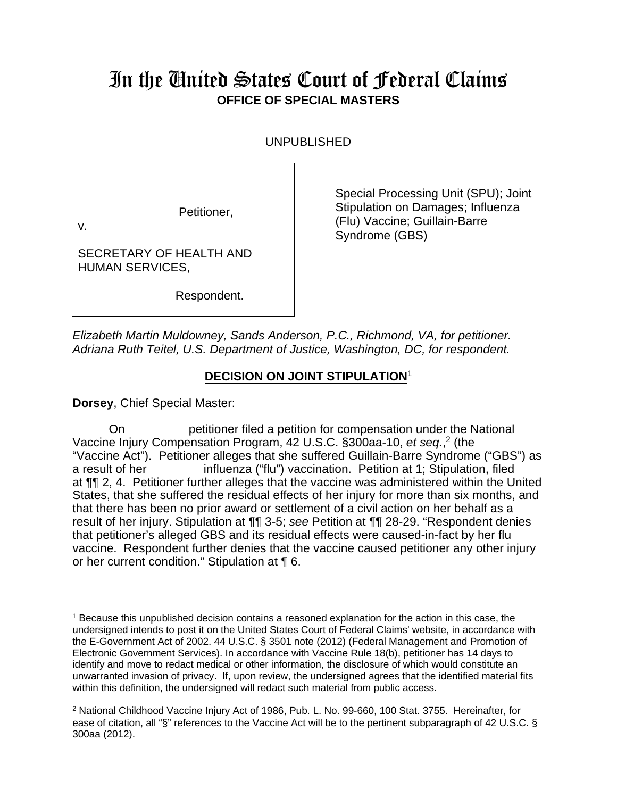## In the United States Court of Federal Claims **OFFICE OF SPECIAL MASTERS**

UNPUBLISHED

Petitioner,

v.

SECRETARY OF HEALTH AND HUMAN SERVICES,

Respondent.

Special Processing Unit (SPU); Joint Stipulation on Damages; Influenza (Flu) Vaccine; Guillain-Barre Syndrome (GBS)

*Elizabeth Martin Muldowney, Sands Anderson, P.C., Richmond, VA, for petitioner. Adriana Ruth Teitel, U.S. Department of Justice, Washington, DC, for respondent.* 

## **DECISION ON JOINT STIPULATION**<sup>1</sup>

**Dorsey**, Chief Special Master:

On petitioner filed a petition for compensation under the National Vaccine Injury Compensation Program, 42 U.S.C. §300aa-10, et seq.,<sup>2</sup> (the "Vaccine Act"). Petitioner alleges that she suffered Guillain-Barre Syndrome ("GBS") as a result of her influenza ("flu") vaccination. Petition at 1; Stipulation, filed at ¶¶ 2, 4. Petitioner further alleges that the vaccine was administered within the United States, that she suffered the residual effects of her injury for more than six months, and that there has been no prior award or settlement of a civil action on her behalf as a result of her injury. Stipulation at ¶¶ 3-5; *see* Petition at ¶¶ 28-29. "Respondent denies that petitioner's alleged GBS and its residual effects were caused-in-fact by her flu vaccine. Respondent further denies that the vaccine caused petitioner any other injury or her current condition." Stipulation at ¶ 6.

<sup>&</sup>lt;sup>1</sup> Because this unpublished decision contains a reasoned explanation for the action in this case, the undersigned intends to post it on the United States Court of Federal Claims' website, in accordance with the E-Government Act of 2002. 44 U.S.C. § 3501 note (2012) (Federal Management and Promotion of Electronic Government Services). In accordance with Vaccine Rule 18(b), petitioner has 14 days to identify and move to redact medical or other information, the disclosure of which would constitute an unwarranted invasion of privacy. If, upon review, the undersigned agrees that the identified material fits within this definition, the undersigned will redact such material from public access.

<sup>&</sup>lt;sup>2</sup> National Childhood Vaccine Injury Act of 1986, Pub. L. No. 99-660, 100 Stat. 3755. Hereinafter, for ease of citation, all "§" references to the Vaccine Act will be to the pertinent subparagraph of 42 U.S.C. § 300aa (2012).